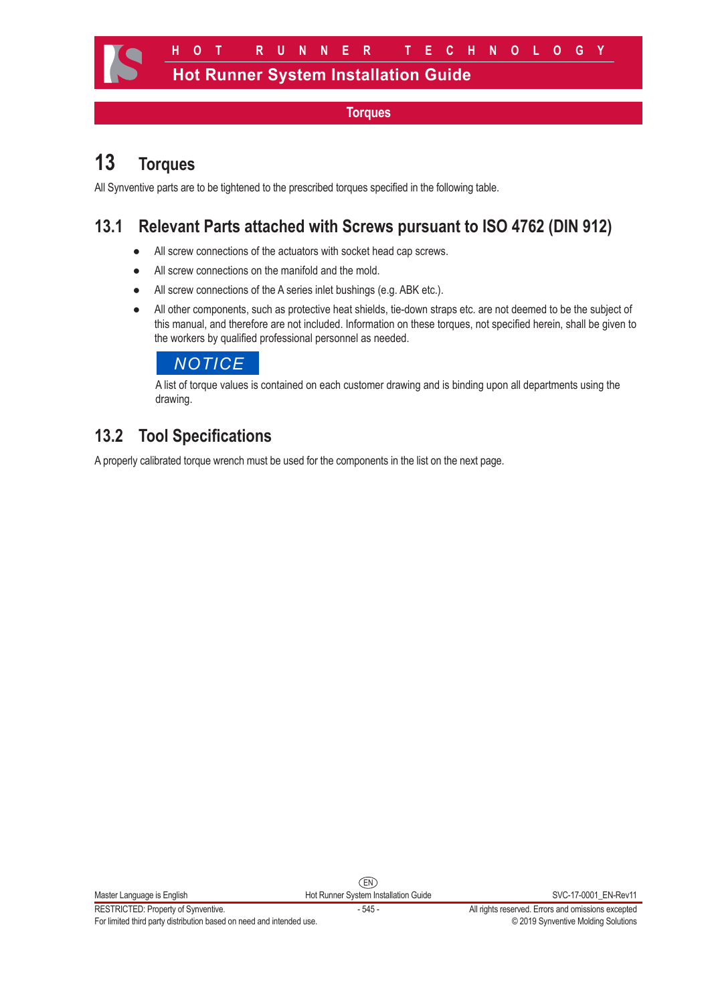# **13 Torques**

All Synventive parts are to be tightened to the prescribed torques specified in the following table.

### **13.1 Relevant Parts attached with Screws pursuant to ISO 4762 (DIN 912)**

- All screw connections of the actuators with socket head cap screws.
- All screw connections on the manifold and the mold.
- All screw connections of the A series inlet bushings (e.g. ABK etc.).
- All other components, such as protective heat shields, tie-down straps etc. are not deemed to be the subject of this manual, and therefore are not included. Information on these torques, not specified herein, shall be given to the workers by qualified professional personnel as needed.



A list of torque values is contained on each customer drawing and is binding upon all departments using the drawing.

## **13.2 Tool Specifications**

A properly calibrated torque wrench must be used for the components in the list on the next page.

EN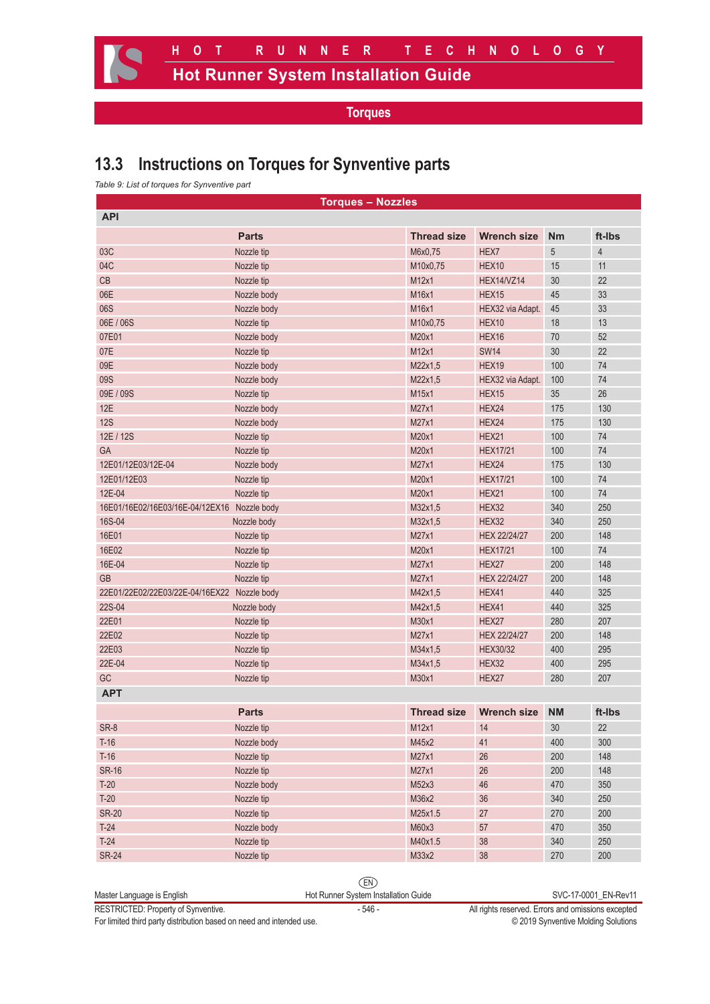### **13.3 Instructions on Torques for Synventive parts**

*Table 9: List of torques for Synventive part*

| <b>Torques - Nozzles</b>                    |              |                    |                     |                 |                |
|---------------------------------------------|--------------|--------------------|---------------------|-----------------|----------------|
| <b>API</b>                                  |              |                    |                     |                 |                |
|                                             | <b>Parts</b> | <b>Thread size</b> | <b>Wrench size</b>  | <b>Nm</b>       | ft-Ibs         |
| 03C                                         | Nozzle tip   | M6x0,75            | HEX7                | 5               | $\overline{4}$ |
| 04C                                         | Nozzle tip   | M10x0,75           | HEX10               | 15              | 11             |
| CB                                          | Nozzle tip   | M12x1              | HEX14/VZ14          | 30              | 22             |
| 06E                                         | Nozzle body  | M16x1              | HEX15               | 45              | 33             |
| 06S                                         | Nozzle body  | M16x1              | HEX32 via Adapt.    | 45              | 33             |
| 06E / 06S                                   | Nozzle tip   | M10x0,75           | HEX10               | 18              | 13             |
| 07E01                                       | Nozzle body  | M20x1              | HEX16               | 70              | 52             |
| 07E                                         | Nozzle tip   | M12x1              | <b>SW14</b>         | 30              | 22             |
| 09E                                         | Nozzle body  | M22x1,5            | HEX19               | 100             | 74             |
| 09S                                         | Nozzle body  | M22x1,5            | HEX32 via Adapt.    | 100             | 74             |
| 09E / 09S                                   | Nozzle tip   | M15x1              | HEX15               | 35              | 26             |
| 12E                                         | Nozzle body  | M27x1              | HEX24               | 175             | 130            |
| <b>12S</b>                                  | Nozzle body  | M27x1              | HEX24               | 175             | 130            |
| 12E / 12S                                   | Nozzle tip   | M20x1              | HEX21               | 100             | 74             |
| <b>GA</b>                                   | Nozzle tip   | M20x1              | <b>HEX17/21</b>     | 100             | 74             |
| 12E01/12E03/12E-04                          | Nozzle body  | M27x1              | HEX24               | 175             | 130            |
| 12E01/12E03                                 | Nozzle tip   | M20x1              | <b>HEX17/21</b>     | 100             | 74             |
| 12E-04                                      | Nozzle tip   | M20x1              | HEX21               | 100             | 74             |
| 16E01/16E02/16E03/16E-04/12EX16 Nozzle body |              | M32x1,5            | HEX32               | 340             | 250            |
| 16S-04                                      | Nozzle body  | M32x1,5            | HEX32               | 340             | 250            |
| 16E01                                       | Nozzle tip   | M27x1              | <b>HEX 22/24/27</b> | 200             | 148            |
| 16E02                                       | Nozzle tip   | M20x1              | <b>HEX17/21</b>     | 100             | 74             |
| 16E-04                                      | Nozzle tip   | M27x1              | HEX27               | 200             | 148            |
| GB                                          | Nozzle tip   | M27x1              | <b>HEX 22/24/27</b> | 200             | 148            |
| 22E01/22E02/22E03/22E-04/16EX22 Nozzle body |              | M42x1,5            | HEX41               | 440             | 325            |
| 22S-04                                      | Nozzle body  | M42x1,5            | HEX41               | 440             | 325            |
| 22E01                                       | Nozzle tip   | M30x1              | HEX27               | 280             | 207            |
| 22E02                                       | Nozzle tip   | M27x1              | <b>HEX 22/24/27</b> | 200             | 148            |
| 22E03                                       | Nozzle tip   | M34x1,5            | <b>HEX30/32</b>     | 400             | 295            |
| 22E-04                                      | Nozzle tip   | M34x1,5            | HEX32               | 400             | 295            |
| GC                                          |              | M30x1              | HEX27               | 280             | 207            |
| <b>APT</b>                                  | Nozzle tip   |                    |                     |                 |                |
|                                             |              |                    |                     |                 |                |
|                                             | <b>Parts</b> | <b>Thread size</b> | <b>Wrench size</b>  | <b>NM</b>       | ft-Ibs         |
| SR-8                                        | Nozzle tip   | M12x1              | 14                  | 30 <sub>2</sub> | 22             |
| $T-16$                                      | Nozzle body  | M45x2              | 41                  | 400             | 300            |
| $T-16$                                      | Nozzle tip   | M27x1              | 26                  | 200             | 148            |
| <b>SR-16</b>                                | Nozzle tip   | M27x1              | 26                  | 200             | 148            |
| $T-20$                                      | Nozzle body  | M52x3              | 46                  | 470             | 350            |
| $T-20$                                      | Nozzle tip   | M36x2              | 36                  | 340             | 250            |
| <b>SR-20</b>                                | Nozzle tip   | M25x1.5            | 27                  | 270             | 200            |
| $T-24$                                      | Nozzle body  | M60x3              | 57                  | 470             | 350            |
| $T-24$                                      | Nozzle tip   | M40x1.5            | 38                  | 340             | 250            |
| <b>SR-24</b>                                | Nozzle tip   | M33x2              | 38                  | 270             | 200            |

EN

For limited third party distribution based on need and intended use.

RESTRICTED: Property of Synventive.<br>For limited third party distribution based on need and intended use.<br>For limited third party distribution based on need and intended use.<br>Capace 2019 Synventive Molding Solutions

Master Language is English **Hot Runner System Installation Guide** SVC-17-0001\_EN-Rev11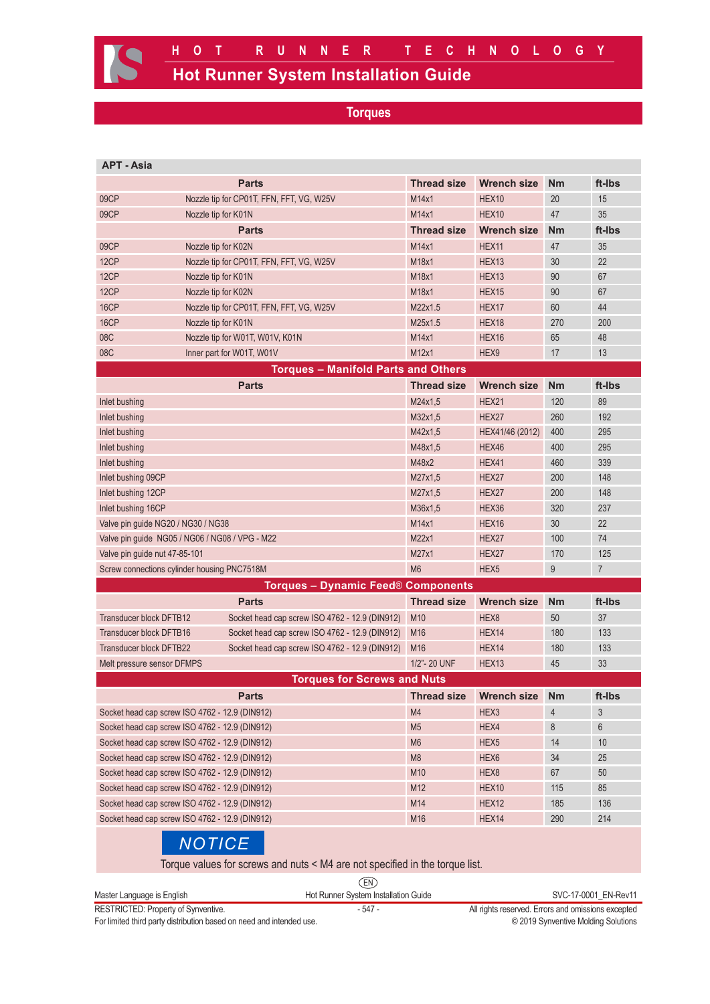| <b>APT - Asia</b>                              |                                          |                                                |                    |                    |                |        |
|------------------------------------------------|------------------------------------------|------------------------------------------------|--------------------|--------------------|----------------|--------|
|                                                | <b>Parts</b>                             |                                                | <b>Thread size</b> | <b>Wrench size</b> | <b>Nm</b>      | ft-Ibs |
| 09CP                                           | Nozzle tip for CP01T, FFN, FFT, VG, W25V |                                                | M14x1              | HEX <sub>10</sub>  | 20             | 15     |
| 09CP                                           | Nozzle tip for K01N                      |                                                | M14x1              | HEX <sub>10</sub>  | 47             | 35     |
|                                                | <b>Parts</b>                             |                                                | <b>Thread size</b> | <b>Wrench size</b> | <b>Nm</b>      | ft-Ibs |
| 09CP                                           | Nozzle tip for K02N                      |                                                | M14x1              | HEX11              | 47             | 35     |
| 12CP                                           | Nozzle tip for CP01T, FFN, FFT, VG, W25V |                                                | M18x1              | HEX <sub>13</sub>  | 30             | 22     |
| 12CP                                           | Nozzle tip for K01N                      |                                                | M18x1              | HEX <sub>13</sub>  | 90             | 67     |
| 12CP                                           | Nozzle tip for K02N                      |                                                | M18x1              | HEX15              | 90             | 67     |
| 16CP                                           | Nozzle tip for CP01T, FFN, FFT, VG, W25V |                                                | M22x1.5            | HEX17              | 60             | 44     |
| 16CP                                           | Nozzle tip for K01N                      |                                                | M25x1.5            | HEX18              | 270            | 200    |
| 08C                                            | Nozzle tip for W01T, W01V, K01N          |                                                | M14x1              | HEX16              | 65             | 48     |
| 08C                                            | Inner part for W01T, W01V                |                                                | M12x1              | HEX9               | 17             | 13     |
|                                                |                                          | <b>Torques - Manifold Parts and Others</b>     |                    |                    |                |        |
|                                                | <b>Parts</b>                             |                                                | <b>Thread size</b> | Wrench size        | <b>Nm</b>      | ft-Ibs |
| Inlet bushing                                  |                                          |                                                | M24x1,5            | HEX21              | 120            | 89     |
| Inlet bushing                                  |                                          |                                                | M32x1,5            | HEX27              | 260            | 192    |
| Inlet bushing                                  |                                          |                                                | M42x1,5            | HEX41/46 (2012)    | 400            | 295    |
| Inlet bushing                                  |                                          | M48x1,5                                        | HEX46              | 400                | 295            |        |
| Inlet bushing                                  |                                          |                                                | M48x2              | HEX41              | 460            | 339    |
| Inlet bushing 09CP                             |                                          |                                                | M27x1,5            | HEX27              | 200            | 148    |
| Inlet bushing 12CP                             |                                          | M27x1,5                                        | HEX27              | 200                | 148            |        |
| Inlet bushing 16CP                             |                                          |                                                | M36x1,5            | HEX36              | 320            | 237    |
| Valve pin guide NG20 / NG30 / NG38             |                                          | M14x1                                          | HEX16              | 30                 | 22             |        |
| Valve pin guide NG05 / NG06 / NG08 / VPG - M22 |                                          | M22x1                                          | HEX27              | 100                | 74             |        |
| Valve pin guide nut 47-85-101                  |                                          | M27x1                                          | HEX27              | 170                | 125            |        |
| Screw connections cylinder housing PNC7518M    |                                          | M <sub>6</sub>                                 | HEX <sub>5</sub>   | 9                  | $\overline{7}$ |        |
|                                                |                                          | <b>Torques - Dynamic Feed® Components</b>      |                    |                    |                |        |
|                                                | <b>Parts</b>                             |                                                | <b>Thread size</b> | <b>Wrench size</b> | <b>Nm</b>      | ft-Ibs |
| Transducer block DFTB12                        |                                          | Socket head cap screw ISO 4762 - 12.9 (DIN912) | M10                | HEX8               | 50             | 37     |
| Transducer block DFTB16                        |                                          | Socket head cap screw ISO 4762 - 12.9 (DIN912) | M <sub>16</sub>    | HEX14              | 180            | 133    |
| <b>Transducer block DFTB22</b>                 |                                          | Socket head cap screw ISO 4762 - 12.9 (DIN912) | M <sub>16</sub>    | HEX <sub>14</sub>  | 180            | 133    |
| Melt pressure sensor DFMPS                     |                                          | 1/2"- 20 UNF                                   | HEX <sub>13</sub>  | 45                 | 33             |        |
| <b>Torques for Screws and Nuts</b>             |                                          |                                                |                    |                    |                |        |
|                                                | <b>Parts</b>                             |                                                | <b>Thread size</b> | <b>Wrench size</b> | <b>Nm</b>      | ft-Ibs |
| Socket head cap screw ISO 4762 - 12.9 (DIN912) |                                          | M4                                             | HEX3               | $\overline{4}$     | 3              |        |
| Socket head cap screw ISO 4762 - 12.9 (DIN912) |                                          | M <sub>5</sub>                                 | HEX4               | 8                  | 6              |        |
| Socket head cap screw ISO 4762 - 12.9 (DIN912) |                                          | M <sub>6</sub>                                 | HEX <sub>5</sub>   | 14                 | 10             |        |
| Socket head cap screw ISO 4762 - 12.9 (DIN912) |                                          | M <sub>8</sub>                                 | HEX <sub>6</sub>   | 34                 | 25             |        |
| Socket head cap screw ISO 4762 - 12.9 (DIN912) |                                          | M10                                            | HEX8               | 67                 | 50             |        |
| Socket head cap screw ISO 4762 - 12.9 (DIN912) |                                          | M12                                            | HEX10              | 115                | 85             |        |
| Socket head cap screw ISO 4762 - 12.9 (DIN912) |                                          | M14                                            | HEX12              | 185                | 136            |        |
| Socket head cap screw ISO 4762 - 12.9 (DIN912) |                                          |                                                | M16                | HEX14              | 290            | 214    |
|                                                | <b>NOTICE</b>                            |                                                |                    |                    |                |        |

Torque values for screws and nuts < M4 are not specified in the torque list.

|                                     | EN                                   |                                                    |
|-------------------------------------|--------------------------------------|----------------------------------------------------|
| Master Language is English          | Hot Runner System Installation Guide | SVC-17-0001 EN-Rev11                               |
| RESTRICTED: Property of Synventive. | - 547 -                              | All rights reserved. Errors and omissions excepted |

For limited third party distribution based on need and intended use. **Example 2019** Synventive Molding Solutions